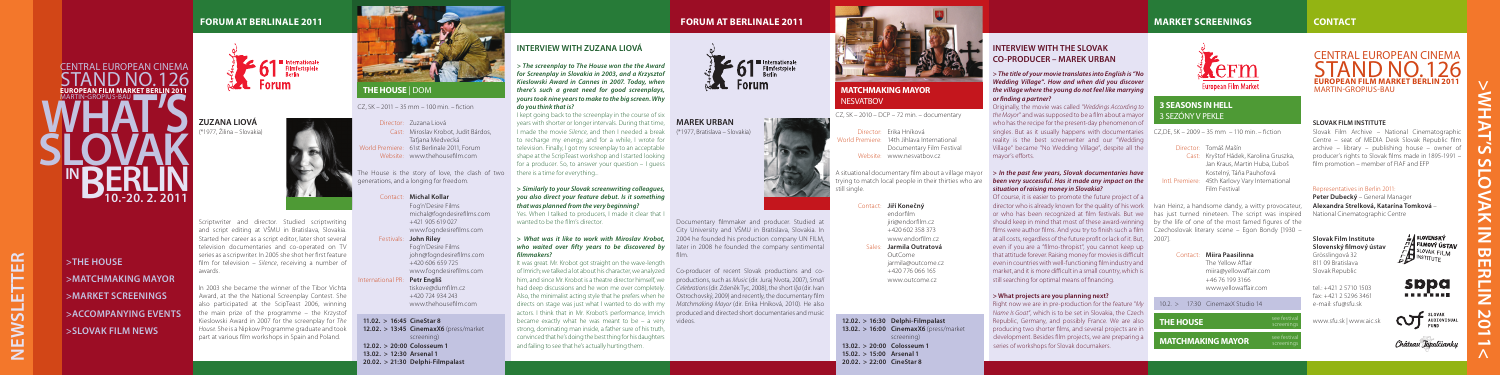#### **SLOVAK FILM INSTITUTE**

Slovak Film Archive – National Cinematographic Centre – seat of MEDIA Desk Slovak Republic film archive – library – publishing house – owner of producer's rights to Slovak films made in 1895-1991 – film promotion – member of FIAF and EFP

#### Representatives in Berlin 2011:

**Peter Dubecký** – General Manager **Alexandra Strelková, Katarína Tomková** – National Cinematographic Centre

### **INTERVIEW WITH ZUZANA LIOVÁ**

*> The screenplay to The House won the the Award for Screenplay in Slovakia in 2003, and a Krzysztof Kieslowski Award in Cannes in 2007. Today, when there's such a great need for good screenplays, yours took nine years to make to the big screen. Why do you think that is?*

I kept going back to the screenplay in the course of six years with shorter or longer intervals. During that time, I made the movie *Silence*, and then I needed a break to recharge my energy, and for a while, I wrote for television. Finally, I got my screenplay to an acceptable shape at the ScripTeast workshop and I started looking for a producer. So, to answer your question – I guess there is a time for everything...

#### **>** *Similarly to your Slovak screenwriting colleagues, you also direct your feature debut. Is it something that was planned from the very beginning?*

Yes. When I talked to producers, I made it clear that I wanted to be the film's director.

#### **>** *What was it like to work with Miroslav Krobot, who waited over fifty years to be discovered by filmmakers?*

It was great. Mr. Krobot got straight on the wave-length of Imrich; we talked a lot about his character, we analyzed him, and since Mr. Krobot is a theatre director himself, we had deep discussions and he won me over completely. Also, the minimalist acting style that he prefers when he became exactly what he was meant to be – a very videos. strong, dominating man inside, a father sure of his truth, convinced that he's doing the best thing for his daughters and failing to see that he's actually hurting them.



### **INTERVIEW WITH THE SLOVAK CO-PRODUCER – MAREK URBAN**

#### **>** *The title of your movie translates into English is "No Wedding Village". How and when did you discover*  **MATCHMAKING MAYOR the village where the young do not feel like marrying and the community of the state of the state of the state of the state of the state of the state of the state of the state of the state of the state** *or finding a partner?*

Originally, the movie was called *"Weddings According to the Mayor*" and was supposed to be a film about a mayor who has the recipe for the present-day phenomenon of singles. But as it usually happens with documentaries CZ,DE, SK – 2009 – 35 mm – 110 min. – fiction reality is the best screenwriter and our "Wedding Village" became "No Wedding Village", despite all the mayor's efforts.

#### **>** *In the past few years, Slovak documentaries have been very successful. Has it made any impact on the situation of raising money in Slovakia?*

Of course, it is easier to promote the future project of a director who is already known for the quality of his work | Ivan Heinz, a handsome dandy, a witty provocateur, or who has been recognized at film festivals. But we has just turned nineteen. The script was inspired should keep in mind that most of these award-winning by the life of one of the most famed figures of the films were author films. And you try to finish such a film Czechoslovak literary scene – Egon Bondy [1930 – at all costs, regardless of the future profit or lack of it. But, 2007]. even if you are a "filmo-thropist", you cannot keep up that attitude forever. Raising money for movies is difficult even in countries with well-functioning film industry and market, and it is more difficult in a small country, which is still searching for optimal means of financing.

#### **> What projects are you planning next?**

Right now we are in pre-production for the feature "*My Name Is Goat*", which is to be set in Slovakia, the Czech Republic, Germany, and possibly France. We are also producing two shorter films, and several projects are in development. Besides film projects, we are preparing a series of workshops for Slovak documakers.

### **MARKET SCREENINGS CONTACT**



**Newsletter**

**NEWSL** 

ய

 $ER$ 

Н

**ZUZANA LIOVÁ** (\*1977, Žilina – Slovakia)

Scriptwriter and director. Studied scriptwriting

**>What's Slovak in Berlin 2011<** ool ш

directs on stage was just what I wanted to do with my *Matchmaking Mayor* (dir. Erika Hníková, 2010). He also actors. I think that in Mr. Krobot's performance, Imrich produced and directed short documentaries and music Co-producer of recent Slovak productions and coproductions, such as *Music* (dir. Juraj Nvota, 2007), *Small Celebrations* (dir. Zdeněk Tyc, 2008), the short *Ilja* (dir. Ivan Ostrochovský, 2009) and recently, the documentary film

and script editing at VŠMU in Bratislava, Slovakia. Started her career as a script editor, later shot several television documentaries and co-operated on TV series as a scripwriter. In 2005 she shot her first feature film for television – *Silence*, receiving a number of awards.

In 2003 she became the winner of the Tibor Vichta Award, at the the National Screenplay Contest. She also participated at the ScipTeast 2006, winning the main prize of the programme – the Krzystof Kieslowski Award in 2007 for the screenplay for *The House*. She is a Nipkow Programme graduate and took part at various film workshops in Spain and Poland.



### **FORUM at BERLINALE 2011**

61 Internationale

**What's**

MARTIN-GROPIUS-BA

**in**

CENTRAL EUROPEAN CINEMA <code>TAND</code> NO. 1 **EUROPEAN FILM MARKET BERLIN 2011**

**BERLIN** 

**>THE HOUSE**

**>MATCHMAKING MAYOR >MARKET SCREENINGS >ACCOMPANYING EVENTS**

**>SLOVAK FILM NEWS**

**er.** 20. 2. 2011

 $SL_2$ 

### **FORUM at BERLINALE 2011**

**11.02. > 16:45 CineStar 8 12.02. > 13:45 CinemaxX6** (press/market screening) **12.02. > 20:00 Colosseum 1 13.02. > 12:30 Arsenal 1 20.02. > 21:30 Delphi-Filmpalast** 

CZ, SK – 2011 – 35 mm – 100 min. – fiction



Taťjana Medvecká



Contact: **Michal Kollar**

Fog'n'Desire Films

michal@fogndesirefilms.com +421 905 619 027 www.fogndesirefilms.com Festivals: **John Riley**

Fog'n'Desire Films john@fogndesirefilms.com +420 606 659 725

www.fogndesirefilms.com International PR: **Petr Engliš**

tiskove@dumfilm.cz +420 724 934 243 www.thehousefilm.com

### **THE HOUSE** | DOM

**MAREK URBAN** (\*1977, Bratislava – Slovakia)

Documentary filmmaker and producer. Studied at City University and VŠMU in Bratislava, Slovakia. In 2004 he founded his production company UN FILM, later in 2008 he founded the company sentimental film.

Director: Tomáš Mašín

Cast: Kryštof Hádek, Karolina Gruszka, Jan Kraus, Martin Huba, Ľuboš Kostelný, Táňa Pauhofová Intl. Premiere: 45th Karlovy Vary International Film Festival

#### Contact: **Miira Paasilinna**

The Yellow Affair

see fe

miira@yellowaffair.com +46 76 199 3166 www.yellowaffair.com

### **3 SEASONS IN HELL**  3 SEZÓNY V PEKLE

10.2. > 17:30 CinemaxX Studio 14

#### **THE HOUSE**

**MATCHMAKING MAYOR** 

CZ, SK – 2010 – DCP – 72 min. – documentary

- Director: Erika Hníková
- World Premiere: 14th Jihlava International
	- Documentary Film Festival
	- Website: www.nesvatbov.cz

A situational documentary film about a village mayor trying to match local people in their thirties who are

still single.

#### Contact: **Jiří Konečný**

endorfilm jiri@endorfilm.cz +420 602 358 373 www.endorfilm.cz

#### Sales: **Jarmila Outratová**

OutCome jarmila@outcome.cz +420 776 066 165 www.outcome.cz

### **12.02. > 16:30 Delphi-Filmpalast 13.02. > 16:00 CinemaxX6** (press/market screening) **13.02. > 20:00 Colosseum 1**

**15.02. > 15:00 Arsenal 1** 



# **NESVATROV**

### **20.02. > 22:00 CineStar 8**

**Slovak Film Institute Slovenský filmový ústav** Grösslingová 32 811 09 Bratislava Slovak Republic

tel.: +421 2 5710 1503 fax: +421 2 5296 3461 e-mail: sfu@sfu.sk

www.sfu.sk | www.aic.sk









## CENTRAL EUROPEAN CINEMA Stand no. 126 **EUROPEAN FILM MARKET BERLIN 2011**